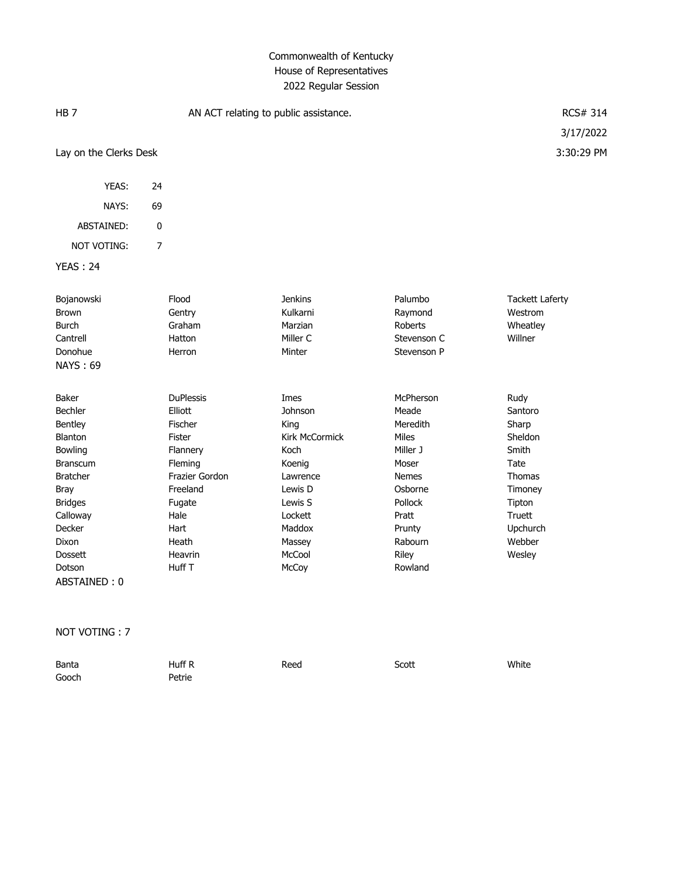| HB <sub>7</sub>                                                                                                                                                                                                          | AN ACT relating to public assistance.                                                                                                                                |                                                                                                                                                        |                                                                                                                                                             | RCS# 314                                                                                                                             |
|--------------------------------------------------------------------------------------------------------------------------------------------------------------------------------------------------------------------------|----------------------------------------------------------------------------------------------------------------------------------------------------------------------|--------------------------------------------------------------------------------------------------------------------------------------------------------|-------------------------------------------------------------------------------------------------------------------------------------------------------------|--------------------------------------------------------------------------------------------------------------------------------------|
|                                                                                                                                                                                                                          |                                                                                                                                                                      |                                                                                                                                                        |                                                                                                                                                             | 3/17/2022                                                                                                                            |
| Lay on the Clerks Desk                                                                                                                                                                                                   |                                                                                                                                                                      |                                                                                                                                                        |                                                                                                                                                             | 3:30:29 PM                                                                                                                           |
| YEAS:                                                                                                                                                                                                                    | 24                                                                                                                                                                   |                                                                                                                                                        |                                                                                                                                                             |                                                                                                                                      |
| NAYS:                                                                                                                                                                                                                    | 69                                                                                                                                                                   |                                                                                                                                                        |                                                                                                                                                             |                                                                                                                                      |
| ABSTAINED:                                                                                                                                                                                                               | $\pmb{0}$                                                                                                                                                            |                                                                                                                                                        |                                                                                                                                                             |                                                                                                                                      |
| <b>NOT VOTING:</b>                                                                                                                                                                                                       | $\overline{7}$                                                                                                                                                       |                                                                                                                                                        |                                                                                                                                                             |                                                                                                                                      |
| <b>YEAS: 24</b>                                                                                                                                                                                                          |                                                                                                                                                                      |                                                                                                                                                        |                                                                                                                                                             |                                                                                                                                      |
| Bojanowski<br>Brown<br><b>Burch</b><br>Cantrell<br>Donohue<br><b>NAYS: 69</b>                                                                                                                                            | Flood<br>Gentry<br>Graham<br>Hatton<br>Herron                                                                                                                        | <b>Jenkins</b><br>Kulkarni<br>Marzian<br>Miller C<br>Minter                                                                                            | Palumbo<br>Raymond<br>Roberts<br>Stevenson C<br>Stevenson P                                                                                                 | <b>Tackett Laferty</b><br>Westrom<br>Wheatley<br>Willner                                                                             |
| <b>Baker</b><br><b>Bechler</b><br>Bentley<br><b>Blanton</b><br>Bowling<br><b>Branscum</b><br><b>Bratcher</b><br><b>Bray</b><br><b>Bridges</b><br>Calloway<br>Decker<br>Dixon<br><b>Dossett</b><br>Dotson<br>ABSTAINED: 0 | <b>DuPlessis</b><br>Elliott<br>Fischer<br><b>Fister</b><br>Flannery<br>Fleming<br>Frazier Gordon<br>Freeland<br>Fugate<br>Hale<br>Hart<br>Heath<br>Heavrin<br>Huff T | Imes<br>Johnson<br>King<br><b>Kirk McCormick</b><br>Koch<br>Koenig<br>Lawrence<br>Lewis D<br>Lewis S<br>Lockett<br>Maddox<br>Massey<br>McCool<br>McCoy | McPherson<br>Meade<br>Meredith<br><b>Miles</b><br>Miller J<br>Moser<br><b>Nemes</b><br>Osborne<br>Pollock<br>Pratt<br>Prunty<br>Rabourn<br>Riley<br>Rowland | Rudy<br>Santoro<br>Sharp<br>Sheldon<br>Smith<br>Tate<br><b>Thomas</b><br>Timoney<br>Tipton<br>Truett<br>Upchurch<br>Webber<br>Wesley |

#### NOT VOTING : 7

| Banta | Huff R | Reed | Scott | White |
|-------|--------|------|-------|-------|
| Gooch | Petrie |      |       |       |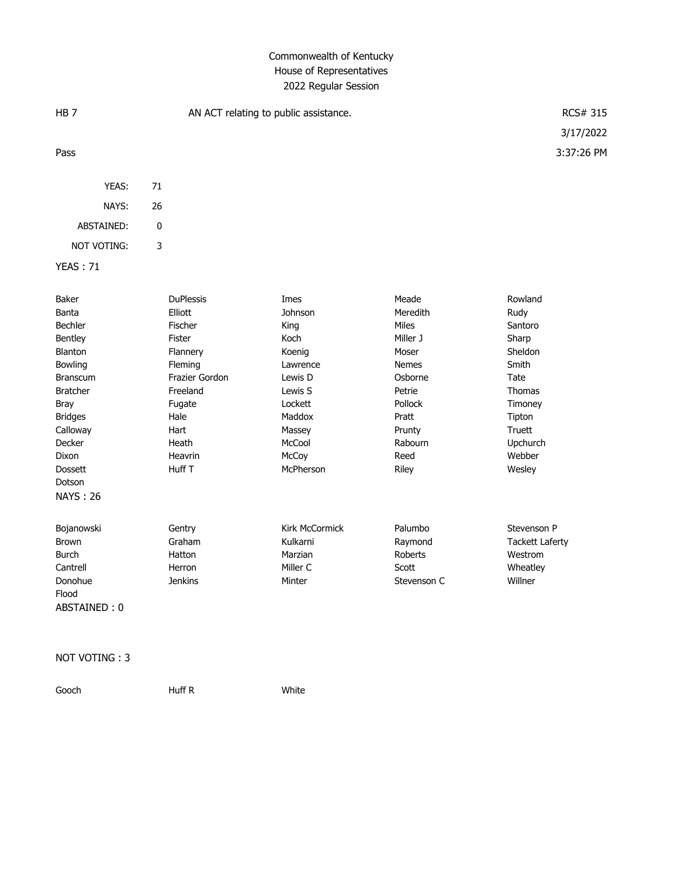| HB <sub>7</sub>                                                                                                                                                                                                 | AN ACT relating to public assistance.                                                                                                                         |                                                                                                                                            |                                                                                                                                                | RCS# 315<br>3/17/2022                                                                                                                    |
|-----------------------------------------------------------------------------------------------------------------------------------------------------------------------------------------------------------------|---------------------------------------------------------------------------------------------------------------------------------------------------------------|--------------------------------------------------------------------------------------------------------------------------------------------|------------------------------------------------------------------------------------------------------------------------------------------------|------------------------------------------------------------------------------------------------------------------------------------------|
| Pass                                                                                                                                                                                                            |                                                                                                                                                               |                                                                                                                                            |                                                                                                                                                | 3:37:26 PM                                                                                                                               |
| YEAS:                                                                                                                                                                                                           | 71                                                                                                                                                            |                                                                                                                                            |                                                                                                                                                |                                                                                                                                          |
| NAYS:                                                                                                                                                                                                           | 26                                                                                                                                                            |                                                                                                                                            |                                                                                                                                                |                                                                                                                                          |
| ABSTAINED:                                                                                                                                                                                                      | $\pmb{0}$                                                                                                                                                     |                                                                                                                                            |                                                                                                                                                |                                                                                                                                          |
| <b>NOT VOTING:</b>                                                                                                                                                                                              | 3                                                                                                                                                             |                                                                                                                                            |                                                                                                                                                |                                                                                                                                          |
| <b>YEAS: 71</b>                                                                                                                                                                                                 |                                                                                                                                                               |                                                                                                                                            |                                                                                                                                                |                                                                                                                                          |
| Baker<br>Banta<br>Bechler<br>Bentley<br>Blanton<br>Bowling<br><b>Branscum</b><br><b>Bratcher</b><br><b>Bray</b><br><b>Bridges</b><br>Calloway<br>Decker<br>Dixon<br><b>Dossett</b><br>Dotson<br><b>NAYS: 26</b> | <b>DuPlessis</b><br>Elliott<br>Fischer<br>Fister<br>Flannery<br>Fleming<br>Frazier Gordon<br>Freeland<br>Fugate<br>Hale<br>Hart<br>Heath<br>Heavrin<br>Huff T | Imes<br>Johnson<br>King<br>Koch<br>Koenig<br>Lawrence<br>Lewis D<br>Lewis S<br>Lockett<br>Maddox<br>Massey<br>McCool<br>McCoy<br>McPherson | Meade<br>Meredith<br>Miles<br>Miller J<br>Moser<br><b>Nemes</b><br>Osborne<br>Petrie<br>Pollock<br>Pratt<br>Prunty<br>Rabourn<br>Reed<br>Riley | Rowland<br>Rudy<br>Santoro<br>Sharp<br>Sheldon<br>Smith<br>Tate<br>Thomas<br>Timoney<br>Tipton<br>Truett<br>Upchurch<br>Webber<br>Wesley |
| Bojanowski<br><b>Brown</b><br><b>Burch</b><br>Cantrell<br>Donohue<br>Flood<br>ABSTAINED: 0                                                                                                                      | Gentry<br>Graham<br>Hatton<br>Herron<br><b>Jenkins</b>                                                                                                        | Kirk McCormick<br>Kulkarni<br>Marzian<br>Miller C<br>Minter                                                                                | Palumbo<br>Raymond<br>Roberts<br>Scott<br>Stevenson C                                                                                          | Stevenson P<br><b>Tackett Laferty</b><br>Westrom<br>Wheatley<br>Willner                                                                  |

#### NOT VOTING : 3

Gooch Huff R White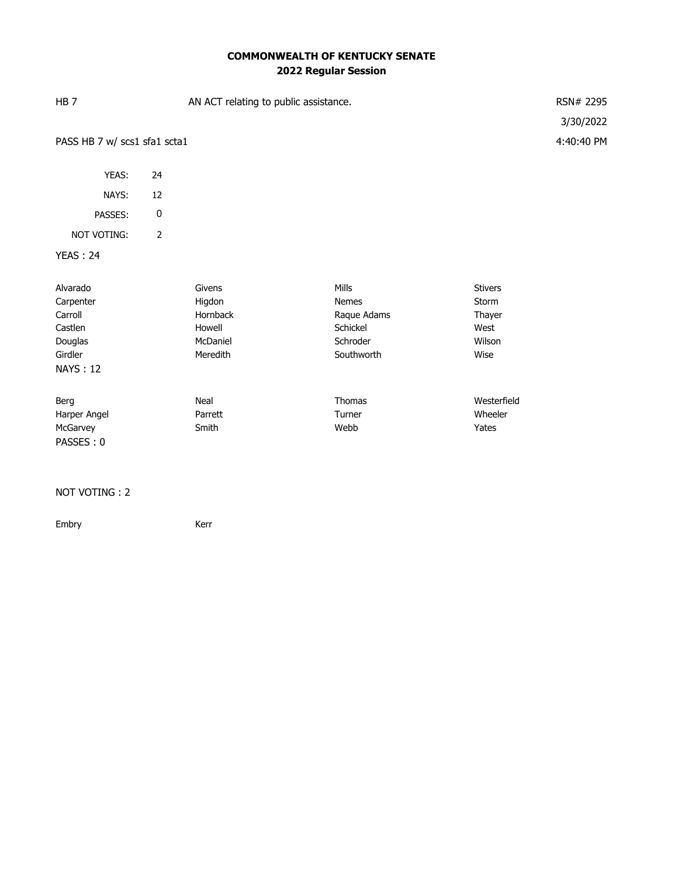# **COMMONWEALTH OF KENTUCKY SENATE 2022 Regular Session**

| HB <sub>7</sub>                                                                      | AN ACT relating to public assistance. |                                                                |                                                                            |                                                             | RSN# 2295<br>3/30/2022 |
|--------------------------------------------------------------------------------------|---------------------------------------|----------------------------------------------------------------|----------------------------------------------------------------------------|-------------------------------------------------------------|------------------------|
|                                                                                      | PASS HB 7 w/ scs1 sfa1 scta1          |                                                                |                                                                            |                                                             |                        |
| YEAS:                                                                                | 24                                    |                                                                |                                                                            |                                                             |                        |
| NAYS:                                                                                | 12                                    |                                                                |                                                                            |                                                             |                        |
| PASSES:                                                                              | $\pmb{0}$                             |                                                                |                                                                            |                                                             |                        |
| NOT VOTING:                                                                          | $\overline{2}$                        |                                                                |                                                                            |                                                             |                        |
| <b>YEAS: 24</b>                                                                      |                                       |                                                                |                                                                            |                                                             |                        |
| Alvarado<br>Carpenter<br>Carroll<br>Castlen<br>Douglas<br>Girdler<br><b>NAYS: 12</b> |                                       | Givens<br>Higdon<br>Hornback<br>Howell<br>McDaniel<br>Meredith | Mills<br><b>Nemes</b><br>Raque Adams<br>Schickel<br>Schroder<br>Southworth | <b>Stivers</b><br>Storm<br>Thayer<br>West<br>Wilson<br>Wise |                        |
| Berg<br>Harper Angel<br>McGarvey<br>PASSES: 0                                        |                                       | Neal<br>Parrett<br>Smith                                       | <b>Thomas</b><br>Turner<br>Webb                                            | Westerfield<br>Wheeler<br>Yates                             |                        |

#### NOT VOTING : 2

Embry Kerr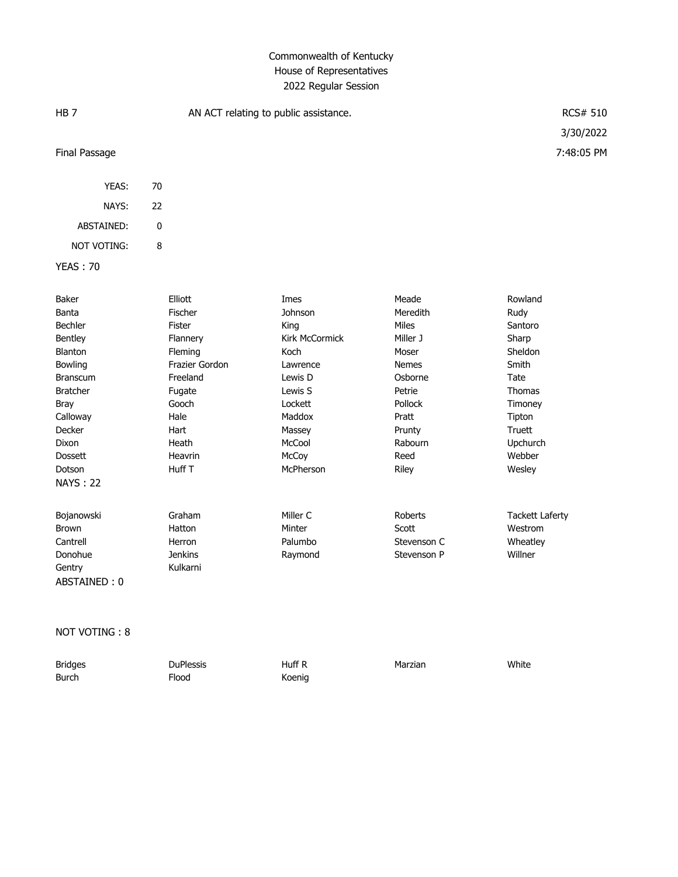| HB <sub>7</sub> |                | AN ACT relating to public assistance. |              | <b>RCS# 510</b>        |
|-----------------|----------------|---------------------------------------|--------------|------------------------|
|                 |                |                                       |              | 3/30/2022              |
| Final Passage   |                |                                       |              | 7:48:05 PM             |
| YEAS:           | 70             |                                       |              |                        |
| NAYS:           | 22             |                                       |              |                        |
| ABSTAINED:      | $\mathbf 0$    |                                       |              |                        |
| NOT VOTING:     | 8              |                                       |              |                        |
| <b>YEAS: 70</b> |                |                                       |              |                        |
| Baker           | Elliott        | Imes                                  | Meade        | Rowland                |
| Banta           | Fischer        | Johnson                               | Meredith     | Rudy                   |
| Bechler         | Fister         | King                                  | Miles        | Santoro                |
| Bentley         | Flannery       | Kirk McCormick                        | Miller J     | Sharp                  |
| Blanton         | Fleming        | Koch                                  | Moser        | Sheldon                |
| <b>Bowling</b>  | Frazier Gordon | Lawrence                              | <b>Nemes</b> | Smith                  |
| <b>Branscum</b> | Freeland       | Lewis D                               | Osborne      | Tate                   |
| <b>Bratcher</b> | Fugate         | Lewis S                               | Petrie       | Thomas                 |
| <b>Bray</b>     | Gooch          | Lockett                               | Pollock      | Timoney                |
| Calloway        | Hale           | Maddox                                | Pratt        | Tipton                 |
| Decker          | Hart           | Massey                                | Prunty       | Truett                 |
| <b>Dixon</b>    | Heath          | McCool                                | Rabourn      | Upchurch               |
| <b>Dossett</b>  | Heavrin        | McCoy                                 | Reed         | Webber                 |
| Dotson          | Huff T         | McPherson                             | Riley        | Wesley                 |
| <b>NAYS: 22</b> |                |                                       |              |                        |
| Bojanowski      | Graham         | Miller C                              | Roberts      | <b>Tackett Laferty</b> |
| <b>Brown</b>    | Hatton         | Minter                                | Scott        | Westrom                |
| Cantrell        | Herron         | Palumbo                               | Stevenson C  | Wheatley               |
| Donohue         | <b>Jenkins</b> | Raymond                               | Stevenson P  | Willner                |
| Gentry          | Kulkarni       |                                       |              |                        |
| ABSTAINED: 0    |                |                                       |              |                        |

NOT VOTING : 8

| <b>Bridges</b> | <b>DuPlessis</b> | Huff R | Marzian | White |
|----------------|------------------|--------|---------|-------|
| Burch          | Flood            | Koenig |         |       |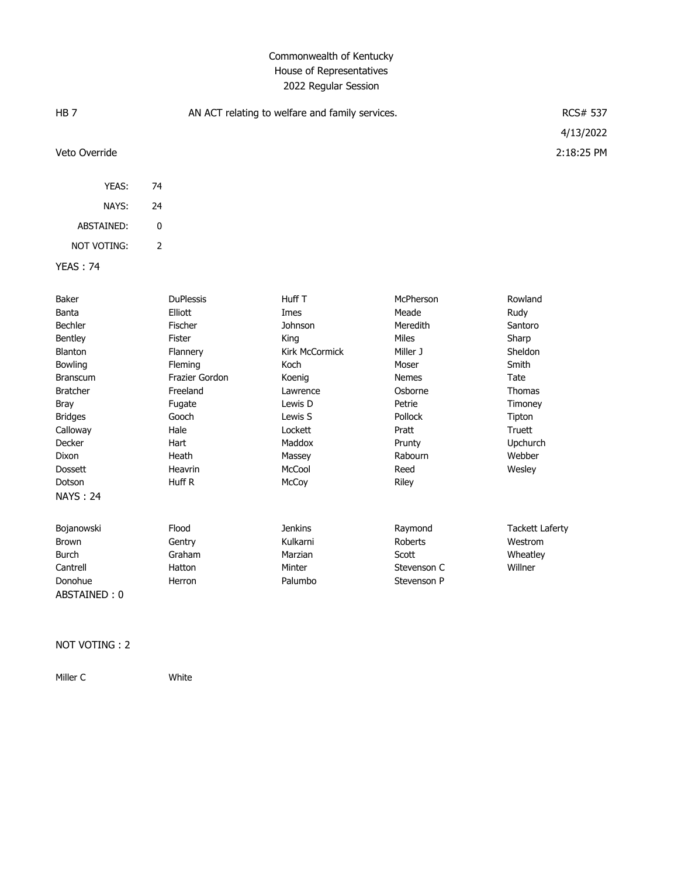| HB <sub>7</sub>                                                                                                                                                                                                        | AN ACT relating to welfare and family services. |                                                                                                                                                                        |                                                                                                                                                                  | RCS# 537<br>4/13/2022                                                                                                                                       |                                                                                                                                                 |
|------------------------------------------------------------------------------------------------------------------------------------------------------------------------------------------------------------------------|-------------------------------------------------|------------------------------------------------------------------------------------------------------------------------------------------------------------------------|------------------------------------------------------------------------------------------------------------------------------------------------------------------|-------------------------------------------------------------------------------------------------------------------------------------------------------------|-------------------------------------------------------------------------------------------------------------------------------------------------|
| Veto Override                                                                                                                                                                                                          |                                                 |                                                                                                                                                                        |                                                                                                                                                                  |                                                                                                                                                             | 2:18:25 PM                                                                                                                                      |
| YEAS:                                                                                                                                                                                                                  | 74                                              |                                                                                                                                                                        |                                                                                                                                                                  |                                                                                                                                                             |                                                                                                                                                 |
| NAYS:                                                                                                                                                                                                                  | 24                                              |                                                                                                                                                                        |                                                                                                                                                                  |                                                                                                                                                             |                                                                                                                                                 |
| ABSTAINED:                                                                                                                                                                                                             | $\mathbf 0$                                     |                                                                                                                                                                        |                                                                                                                                                                  |                                                                                                                                                             |                                                                                                                                                 |
| NOT VOTING:                                                                                                                                                                                                            | $\overline{2}$                                  |                                                                                                                                                                        |                                                                                                                                                                  |                                                                                                                                                             |                                                                                                                                                 |
| <b>YEAS: 74</b>                                                                                                                                                                                                        |                                                 |                                                                                                                                                                        |                                                                                                                                                                  |                                                                                                                                                             |                                                                                                                                                 |
| Baker<br>Banta<br><b>Bechler</b><br>Bentley<br>Blanton<br>Bowling<br><b>Branscum</b><br><b>Bratcher</b><br><b>Bray</b><br><b>Bridges</b><br>Calloway<br>Decker<br>Dixon<br><b>Dossett</b><br>Dotson<br><b>NAYS: 24</b> |                                                 | <b>DuPlessis</b><br>Elliott<br>Fischer<br>Fister<br>Flannery<br>Fleming<br>Frazier Gordon<br>Freeland<br>Fugate<br>Gooch<br>Hale<br>Hart<br>Heath<br>Heavrin<br>Huff R | Huff T<br>Imes<br><b>Johnson</b><br>King<br>Kirk McCormick<br>Koch<br>Koenig<br>Lawrence<br>Lewis D<br>Lewis S<br>Lockett<br>Maddox<br>Massey<br>McCool<br>McCoy | McPherson<br>Meade<br>Meredith<br>Miles<br>Miller J<br>Moser<br><b>Nemes</b><br>Osborne<br>Petrie<br>Pollock<br>Pratt<br>Prunty<br>Rabourn<br>Reed<br>Riley | Rowland<br>Rudy<br>Santoro<br>Sharp<br>Sheldon<br>Smith<br>Tate<br><b>Thomas</b><br>Timoney<br>Tipton<br>Truett<br>Upchurch<br>Webber<br>Wesley |
| Bojanowski<br>Brown<br><b>Burch</b><br>Cantrell<br>Donohue<br>ABSTAINED: 0                                                                                                                                             |                                                 | Flood<br>Gentry<br>Graham<br>Hatton<br>Herron                                                                                                                          | <b>Jenkins</b><br>Kulkarni<br>Marzian<br>Minter<br>Palumbo                                                                                                       | Raymond<br>Roberts<br>Scott<br>Stevenson C<br>Stevenson P                                                                                                   | <b>Tackett Laferty</b><br>Westrom<br>Wheatley<br>Willner                                                                                        |

#### NOT VOTING : 2

Miller C White